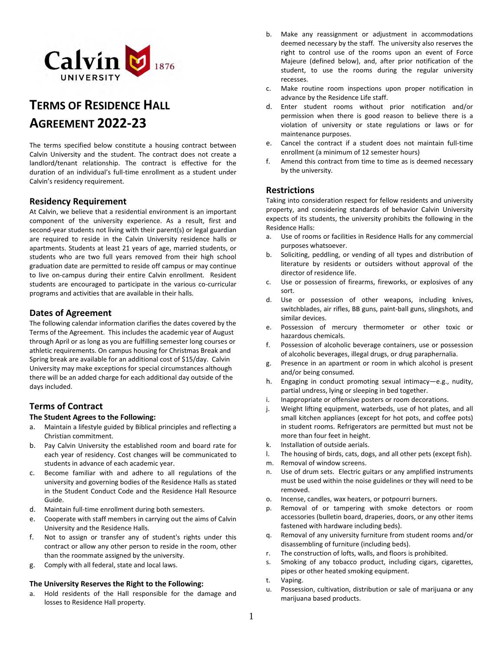

# **TERMS OF RESIDENCE HALL AGREEMENT 2022-23**

The terms specified below constitute a housing contract between Calvin University and the student. The contract does not create a landlord/tenant relationship. The contract is effective for the duration of an individual's full-time enrollment as a student under Calvin's residency requirement.

## **Residency Requirement**

At Calvin, we believe that a residential environment is an important component of the university experience. As a result, first and second-year students not living with their parent(s) or legal guardian are required to reside in the Calvin University residence halls or apartments. Students at least 21 years of age, married students, or students who are two full years removed from their high school graduation date are permitted to reside off campus or may continue to live on-campus during their entire Calvin enrollment. Resident students are encouraged to participate in the various co-curricular programs and activities that are available in their halls.

## **Dates of Agreement**

The following calendar information clarifies the dates covered by the Terms of the Agreement. This includes the academic year of August through April or as long as you are fulfilling semester long courses or athletic requirements. On campus housing for Christmas Break and Spring break are available for an additional cost of \$15/day. Calvin University may make exceptions for special circumstances although there will be an added charge for each additional day outside of the days included.

# **Terms of Contract**

#### **The Student Agrees to the Following:**

- a. Maintain a lifestyle guided by Biblical principles and reflecting a Christian commitment.
- b. Pay Calvin University the established room and board rate for each year of residency. Cost changes will be communicated to students in advance of each academic year.
- c. Become familiar with and adhere to all regulations of the university and governing bodies of the Residence Halls as stated in the Student Conduct Code and the Residence Hall Resource Guide.
- d. Maintain full-time enrollment during both semesters.
- e. Cooperate with staff members in carrying out the aims of Calvin University and the Residence Halls.
- f. Not to assign or transfer any of student's rights under this contract or allow any other person to reside in the room, other than the roommate assigned by the university.
- g. Comply with all federal, state and local laws.

#### **The University Reserves the Right to the Following:**

a. Hold residents of the Hall responsible for the damage and losses to Residence Hall property.

- b. Make any reassignment or adjustment in accommodations deemed necessary by the staff. The university also reserves the right to control use of the rooms upon an event of Force Majeure (defined below), and, after prior notification of the student, to use the rooms during the regular university recesses.
- c. Make routine room inspections upon proper notification in advance by the Residence Life staff.
- d. Enter student rooms without prior notification and/or permission when there is good reason to believe there is a violation of university or state regulations or laws or for maintenance purposes.
- e. Cancel the contract if a student does not maintain full-time enrollment (a minimum of 12 semester hours)
- f. Amend this contract from time to time as is deemed necessary by the university.

## **Restrictions**

Taking into consideration respect for fellow residents and university property, and considering standards of behavior Calvin University expects of its students, the university prohibits the following in the Residence Halls:

- a. Use of rooms or facilities in Residence Halls for any commercial purposes whatsoever.
- b. Soliciting, peddling, or vending of all types and distribution of literature by residents or outsiders without approval of the director of residence life.
- c. Use or possession of firearms, fireworks, or explosives of any sort.
- d. Use or possession of other weapons, including knives, switchblades, air rifles, BB guns, paint-ball guns, slingshots, and similar devices.
- e. Possession of mercury thermometer or other toxic or hazardous chemicals.
- f. Possession of alcoholic beverage containers, use or possession of alcoholic beverages, illegal drugs, or drug paraphernalia.
- g. Presence in an apartment or room in which alcohol is present and/or being consumed.
- h. Engaging in conduct promoting sexual intimacy—e.g., nudity, partial undress, lying or sleeping in bed together.
- i. Inappropriate or offensive posters or room decorations.
- j. Weight lifting equipment, waterbeds, use of hot plates, and all small kitchen appliances (except for hot pots, and coffee pots) in student rooms. Refrigerators are permitted but must not be more than four feet in height.
- k. Installation of outside aerials.
- l. The housing of birds, cats, dogs, and all other pets (except fish).
- m. Removal of window screens.
- n. Use of drum sets. Electric guitars or any amplified instruments must be used within the noise guidelines or they will need to be removed.
- o. Incense, candles, wax heaters, or potpourri burners.
- p. Removal of or tampering with smoke detectors or room accessories (bulletin board, draperies, doors, or any other items fastened with hardware including beds).
- q. Removal of any university furniture from student rooms and/or disassembling of furniture (including beds).
- r. The construction of lofts, walls, and floors is prohibited.
- s. Smoking of any tobacco product, including cigars, cigarettes, pipes or other heated smoking equipment.
- t. Vaping.
- u. Possession, cultivation, distribution or sale of marijuana or any marijuana based products.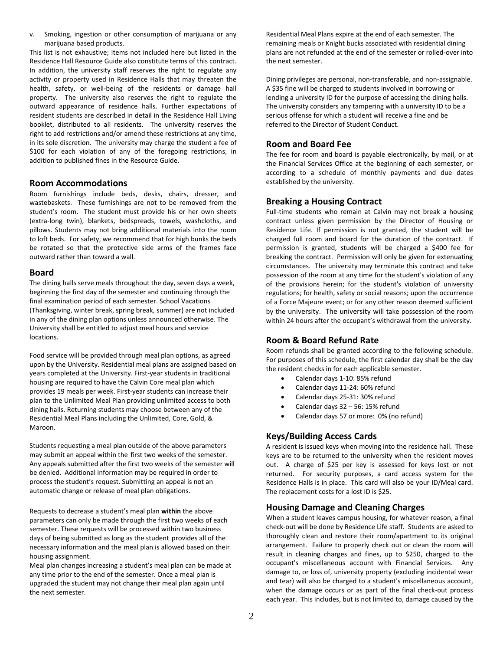v. Smoking, ingestion or other consumption of marijuana or any marijuana based products.

This list is not exhaustive; items not included here but listed in the Residence Hall Resource Guide also constitute terms of this contract. In addition, the university staff reserves the right to regulate any activity or property used in Residence Halls that may threaten the health, safety, or well-being of the residents or damage hall property. The university also reserves the right to regulate the outward appearance of residence halls. Further expectations of resident students are described in detail in the Residence Hall Living booklet, distributed to all residents. The university reserves the right to add restrictions and/or amend these restrictions at any time, in its sole discretion. The university may charge the student a fee of \$100 for each violation of any of the foregoing restrictions, in addition to published fines in the Resource Guide.

## **Room Accommodations**

Room furnishings include beds, desks, chairs, dresser, and wastebaskets. These furnishings are not to be removed from the student's room. The student must provide his or her own sheets (extra-long twin), blankets, bedspreads, towels, washcloths, and pillows. Students may not bring additional materials into the room to loft beds. For safety, we recommend that for high bunks the beds be rotated so that the protective side arms of the frames face outward rather than toward a wall.

#### **Board**

The dining halls serve meals throughout the day, seven days a week, beginning the first day of the semester and continuing through the final examination period of each semester. School Vacations (Thanksgiving, winter break, spring break, summer) are not included in any of the dining plan options unless announced otherwise. The University shall be entitled to adjust meal hours and service locations.

Food service will be provided through meal plan options, as agreed upon by the University. Residential meal plans are assigned based on years completed at the University. First-year students in traditional housing are required to have the Calvin Core meal plan which provides 19 meals per week. First-year students can increase their plan to the Unlimited Meal Plan providing unlimited access to both dining halls. Returning students may choose between any of the Residential Meal Plans including the Unlimited, Core, Gold, & Maroon.

Students requesting a meal plan outside of the above parameters may submit an appeal within the first two weeks of the semester. Any appeals submitted after the first two weeks of the semester will be denied. Additional information may be required in order to process the student's request. Submitting an appeal is not an automatic change or release of meal plan obligations.

Requests to decrease a student's meal plan **within** the above parameters can only be made through the first two weeks of each semester. These requests will be processed within two business days of being submitted as long as the student provides all of the necessary information and the meal plan is allowed based on their housing assignment.

Meal plan changes increasing a student's meal plan can be made at any time prior to the end of the semester. Once a meal plan is upgraded the student may not change their meal plan again until the next semester.

Residential Meal Plans expire at the end of each semester. The remaining meals or Knight bucks associated with residential dining plans are not refunded at the end of the semester or rolled-over into the next semester.

Dining privileges are personal, non-transferable, and non-assignable. A \$35 fine will be charged to students involved in borrowing or lending a university ID for the purpose of accessing the dining halls. The university considers any tampering with a university ID to be a serious offense for which a student will receive a fine and be referred to the Director of Student Conduct.

# **Room and Board Fee**

The fee for room and board is payable electronically, by mail, or at the Financial Services Office at the beginning of each semester, or according to a schedule of monthly payments and due dates established by the university.

## **Breaking a Housing Contract**

Full-time students who remain at Calvin may not break a housing contract unless given permission by the Director of Housing or Residence Life. If permission is not granted, the student will be charged full room and board for the duration of the contract. If permission is granted, students will be charged a \$400 fee for breaking the contract. Permission will only be given for extenuating circumstances. The university may terminate this contract and take possession of the room at any time for the student's violation of any of the provisions herein; for the student's violation of university regulations; for health, safety or social reasons; upon the occurrence of a Force Majeure event; or for any other reason deemed sufficient by the university. The university will take possession of the room within 24 hours after the occupant's withdrawal from the university.

# **Room & Board Refund Rate**

Room refunds shall be granted according to the following schedule. For purposes of this schedule, the first calendar day shall be the day the resident checks in for each applicable semester.

- Calendar days 1-10: 85% refund
- Calendar days 11-24: 60% refund
- Calendar days 25-31: 30% refund
- Calendar days  $32 56$ : 15% refund
- Calendar days 57 or more: 0% (no refund)

# **Keys/Building Access Cards**

A resident is issued keys when moving into the residence hall. These keys are to be returned to the university when the resident moves out. A charge of \$25 per key is assessed for keys lost or not returned. For security purposes, a card access system for the Residence Halls is in place. This card will also be your ID/Meal card. The replacement costs for a lost ID is \$25.

## **Housing Damage and Cleaning Charges**

When a student leaves campus housing, for whatever reason, a final check-out will be done by Residence Life staff. Students are asked to thoroughly clean and restore their room/apartment to its original arrangement. Failure to properly check out or clean the room will result in cleaning charges and fines, up to \$250, charged to the occupant's miscellaneous account with Financial Services. Any damage to, or loss of, university property (excluding incidental wear and tear) will also be charged to a student's miscellaneous account, when the damage occurs or as part of the final check-out process each year. This includes, but is not limited to, damage caused by the